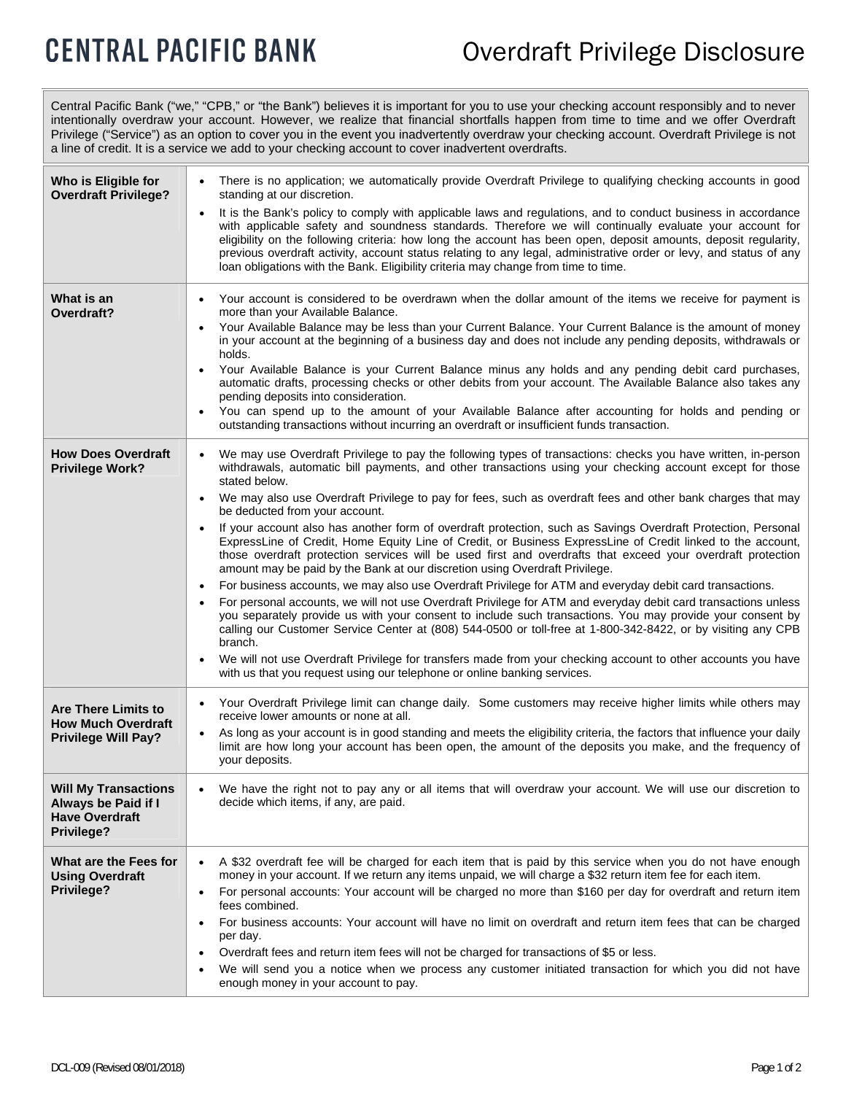## **CENTRAL PACIFIC BANK**

Central Pacific Bank ("we," "CPB," or "the Bank") believes it is important for you to use your checking account responsibly and to never intentionally overdraw your account. However, we realize that financial shortfalls happen from time to time and we offer Overdraft Privilege ("Service") as an option to cover you in the event you inadvertently overdraw your checking account. Overdraft Privilege is not a line of credit. It is a service we add to your checking account to cover inadvertent overdrafts.

| Who is Eligible for<br><b>Overdraft Privilege?</b>                                    | There is no application; we automatically provide Overdraft Privilege to qualifying checking accounts in good<br>$\bullet$<br>standing at our discretion.<br>It is the Bank's policy to comply with applicable laws and regulations, and to conduct business in accordance<br>$\bullet$<br>with applicable safety and soundness standards. Therefore we will continually evaluate your account for<br>eligibility on the following criteria: how long the account has been open, deposit amounts, deposit regularity,<br>previous overdraft activity, account status relating to any legal, administrative order or levy, and status of any<br>loan obligations with the Bank. Eligibility criteria may change from time to time.                                                                                                                                                                                                                                                                                                                                                                                                                                                                                                                                                                                                                                                                                                                                                                                                                |
|---------------------------------------------------------------------------------------|--------------------------------------------------------------------------------------------------------------------------------------------------------------------------------------------------------------------------------------------------------------------------------------------------------------------------------------------------------------------------------------------------------------------------------------------------------------------------------------------------------------------------------------------------------------------------------------------------------------------------------------------------------------------------------------------------------------------------------------------------------------------------------------------------------------------------------------------------------------------------------------------------------------------------------------------------------------------------------------------------------------------------------------------------------------------------------------------------------------------------------------------------------------------------------------------------------------------------------------------------------------------------------------------------------------------------------------------------------------------------------------------------------------------------------------------------------------------------------------------------------------------------------------------------|
| What is an<br>Overdraft?                                                              | Your account is considered to be overdrawn when the dollar amount of the items we receive for payment is<br>more than your Available Balance.<br>Your Available Balance may be less than your Current Balance. Your Current Balance is the amount of money<br>$\bullet$<br>in your account at the beginning of a business day and does not include any pending deposits, withdrawals or<br>holds.<br>Your Available Balance is your Current Balance minus any holds and any pending debit card purchases,<br>$\bullet$<br>automatic drafts, processing checks or other debits from your account. The Available Balance also takes any<br>pending deposits into consideration.<br>You can spend up to the amount of your Available Balance after accounting for holds and pending or<br>outstanding transactions without incurring an overdraft or insufficient funds transaction.                                                                                                                                                                                                                                                                                                                                                                                                                                                                                                                                                                                                                                                                |
| <b>How Does Overdraft</b><br><b>Privilege Work?</b>                                   | We may use Overdraft Privilege to pay the following types of transactions: checks you have written, in-person<br>$\bullet$<br>withdrawals, automatic bill payments, and other transactions using your checking account except for those<br>stated below.<br>We may also use Overdraft Privilege to pay for fees, such as overdraft fees and other bank charges that may<br>$\bullet$<br>be deducted from your account.<br>If your account also has another form of overdraft protection, such as Savings Overdraft Protection, Personal<br>$\bullet$<br>ExpressLine of Credit, Home Equity Line of Credit, or Business ExpressLine of Credit linked to the account,<br>those overdraft protection services will be used first and overdrafts that exceed your overdraft protection<br>amount may be paid by the Bank at our discretion using Overdraft Privilege.<br>For business accounts, we may also use Overdraft Privilege for ATM and everyday debit card transactions.<br>$\bullet$<br>For personal accounts, we will not use Overdraft Privilege for ATM and everyday debit card transactions unless<br>you separately provide us with your consent to include such transactions. You may provide your consent by<br>calling our Customer Service Center at (808) 544-0500 or toll-free at 1-800-342-8422, or by visiting any CPB<br>branch.<br>We will not use Overdraft Privilege for transfers made from your checking account to other accounts you have<br>with us that you request using our telephone or online banking services. |
| <b>Are There Limits to</b><br><b>How Much Overdraft</b><br><b>Privilege Will Pay?</b> | Your Overdraft Privilege limit can change daily. Some customers may receive higher limits while others may<br>$\bullet$<br>receive lower amounts or none at all.<br>As long as your account is in good standing and meets the eligibility criteria, the factors that influence your daily<br>$\bullet$<br>limit are how long your account has been open, the amount of the deposits you make, and the frequency of<br>your deposits.                                                                                                                                                                                                                                                                                                                                                                                                                                                                                                                                                                                                                                                                                                                                                                                                                                                                                                                                                                                                                                                                                                             |
| Will My Transactions<br>Always be Paid if I<br><b>Have Overdraft</b><br>Privilege?    | We have the right not to pay any or all items that will overdraw your account. We will use our discretion to<br>decide which items, if any, are paid.                                                                                                                                                                                                                                                                                                                                                                                                                                                                                                                                                                                                                                                                                                                                                                                                                                                                                                                                                                                                                                                                                                                                                                                                                                                                                                                                                                                            |
| What are the Fees for<br><b>Using Overdraft</b><br>Privilege?                         | A \$32 overdraft fee will be charged for each item that is paid by this service when you do not have enough<br>$\bullet$<br>money in your account. If we return any items unpaid, we will charge a \$32 return item fee for each item.<br>For personal accounts: Your account will be charged no more than \$160 per day for overdraft and return item<br>$\bullet$<br>fees combined.<br>For business accounts: Your account will have no limit on overdraft and return item fees that can be charged<br>$\bullet$<br>per day.<br>Overdraft fees and return item fees will not be charged for transactions of \$5 or less.<br>$\bullet$<br>We will send you a notice when we process any customer initiated transaction for which you did not have<br>٠<br>enough money in your account to pay.                                                                                                                                                                                                                                                                                                                                                                                                                                                                                                                                                                                                                                                                                                                                                  |